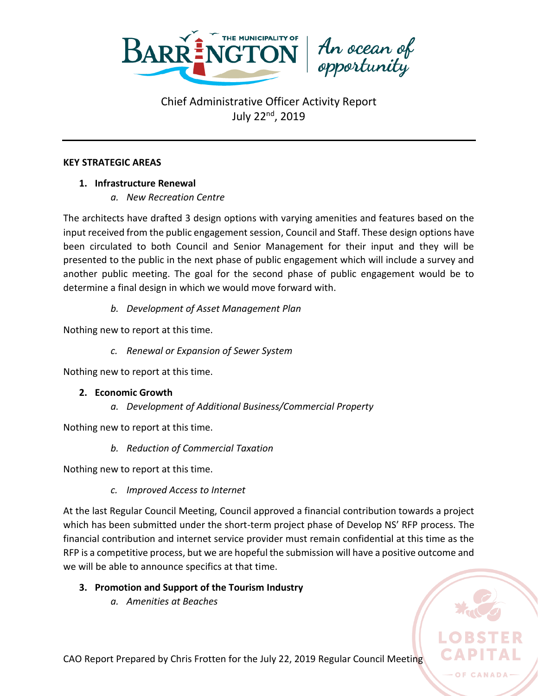

#### **KEY STRATEGIC AREAS**

#### **1. Infrastructure Renewal**

*a. New Recreation Centre*

The architects have drafted 3 design options with varying amenities and features based on the input received from the public engagement session, Council and Staff. These design options have been circulated to both Council and Senior Management for their input and they will be presented to the public in the next phase of public engagement which will include a survey and another public meeting. The goal for the second phase of public engagement would be to determine a final design in which we would move forward with.

#### *b. Development of Asset Management Plan*

Nothing new to report at this time.

*c. Renewal or Expansion of Sewer System*

Nothing new to report at this time.

#### **2. Economic Growth**

*a. Development of Additional Business/Commercial Property*

Nothing new to report at this time.

*b. Reduction of Commercial Taxation*

Nothing new to report at this time.

*c. Improved Access to Internet*

At the last Regular Council Meeting, Council approved a financial contribution towards a project which has been submitted under the short-term project phase of Develop NS' RFP process. The financial contribution and internet service provider must remain confidential at this time as the RFP is a competitive process, but we are hopeful the submission will have a positive outcome and we will be able to announce specifics at that time.

OF CANADA

### **3. Promotion and Support of the Tourism Industry**

*a. Amenities at Beaches*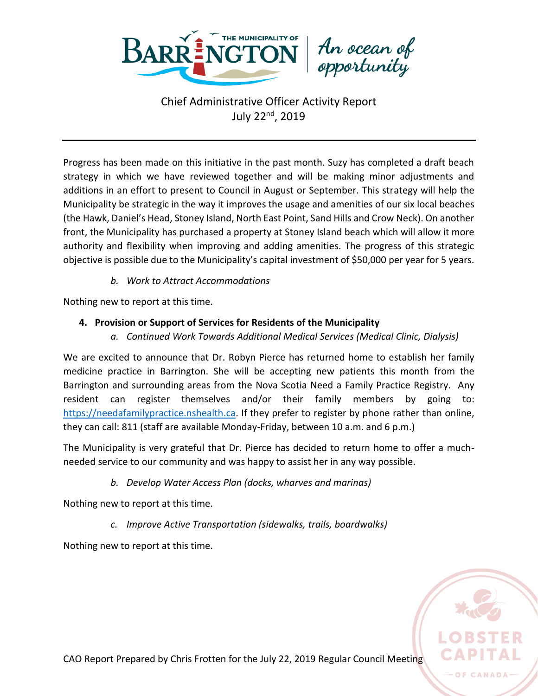

# An ocean of<br>opportunity

Chief Administrative Officer Activity Report July 22nd, 2019

Progress has been made on this initiative in the past month. Suzy has completed a draft beach strategy in which we have reviewed together and will be making minor adjustments and additions in an effort to present to Council in August or September. This strategy will help the Municipality be strategic in the way it improves the usage and amenities of our six local beaches (the Hawk, Daniel's Head, Stoney Island, North East Point, Sand Hills and Crow Neck). On another front, the Municipality has purchased a property at Stoney Island beach which will allow it more authority and flexibility when improving and adding amenities. The progress of this strategic objective is possible due to the Municipality's capital investment of \$50,000 per year for 5 years.

*b. Work to Attract Accommodations*

Nothing new to report at this time.

#### **4. Provision or Support of Services for Residents of the Municipality**

*a. Continued Work Towards Additional Medical Services (Medical Clinic, Dialysis)*

We are excited to announce that Dr. Robyn Pierce has returned home to establish her family medicine practice in Barrington. She will be accepting new patients this month from the Barrington and surrounding areas from the Nova Scotia Need a Family Practice Registry. Any resident can register themselves and/or their family members by going to: [https://needafamilypractice.nshealth.ca.](https://needafamilypractice.nshealth.ca/) If they prefer to register by phone rather than online, they can call: 811 (staff are available Monday-Friday, between 10 a.m. and 6 p.m.)

The Municipality is very grateful that Dr. Pierce has decided to return home to offer a muchneeded service to our community and was happy to assist her in any way possible.

*b. Develop Water Access Plan (docks, wharves and marinas)*

Nothing new to report at this time.

*c. Improve Active Transportation (sidewalks, trails, boardwalks)*

Nothing new to report at this time.

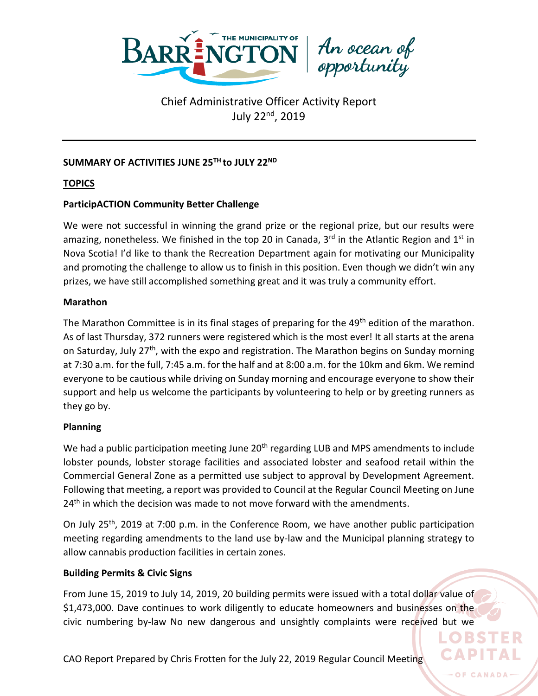

### **SUMMARY OF ACTIVITIES JUNE 25TH to JULY 22 ND**

#### **TOPICS**

#### **ParticipACTION Community Better Challenge**

We were not successful in winning the grand prize or the regional prize, but our results were amazing, nonetheless. We finished in the top 20 in Canada,  $3<sup>rd</sup>$  in the Atlantic Region and  $1<sup>st</sup>$  in Nova Scotia! I'd like to thank the Recreation Department again for motivating our Municipality and promoting the challenge to allow us to finish in this position. Even though we didn't win any prizes, we have still accomplished something great and it was truly a community effort.

#### **Marathon**

The Marathon Committee is in its final stages of preparing for the 49<sup>th</sup> edition of the marathon. As of last Thursday, 372 runners were registered which is the most ever! It all starts at the arena on Saturday, July 27<sup>th</sup>, with the expo and registration. The Marathon begins on Sunday morning at 7:30 a.m. for the full, 7:45 a.m. for the half and at 8:00 a.m. for the 10km and 6km. We remind everyone to be cautious while driving on Sunday morning and encourage everyone to show their support and help us welcome the participants by volunteering to help or by greeting runners as they go by.

#### **Planning**

We had a public participation meeting June 20<sup>th</sup> regarding LUB and MPS amendments to include lobster pounds, lobster storage facilities and associated lobster and seafood retail within the Commercial General Zone as a permitted use subject to approval by Development Agreement. Following that meeting, a report was provided to Council at the Regular Council Meeting on June 24<sup>th</sup> in which the decision was made to not move forward with the amendments.

On July 25th, 2019 at 7:00 p.m. in the Conference Room, we have another public participation meeting regarding amendments to the land use by-law and the Municipal planning strategy to allow cannabis production facilities in certain zones.

#### **Building Permits & Civic Signs**

From June 15, 2019 to July 14, 2019, 20 building permits were issued with a total dollar value of \$1,473,000. Dave continues to work diligently to educate homeowners and businesses on the civic numbering by-law No new dangerous and unsightly complaints were received but we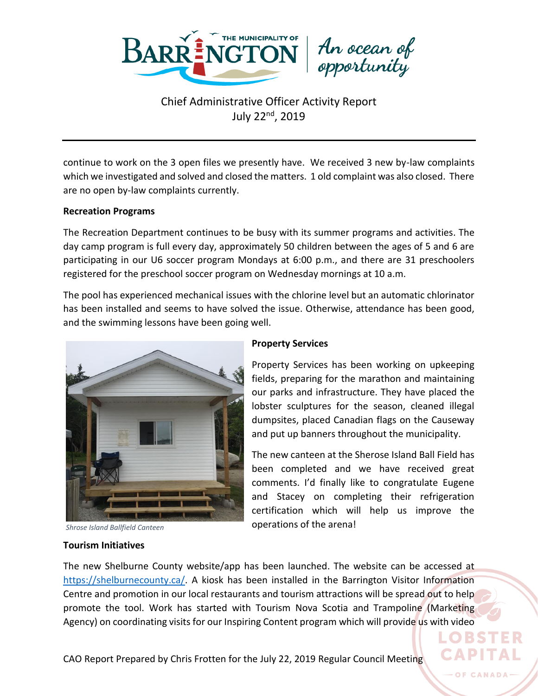

continue to work on the 3 open files we presently have. We received 3 new by-law complaints which we investigated and solved and closed the matters. 1 old complaint was also closed. There are no open by-law complaints currently.

#### **Recreation Programs**

The Recreation Department continues to be busy with its summer programs and activities. The day camp program is full every day, approximately 50 children between the ages of 5 and 6 are participating in our U6 soccer program Mondays at 6:00 p.m., and there are 31 preschoolers registered for the preschool soccer program on Wednesday mornings at 10 a.m.

The pool has experienced mechanical issues with the chlorine level but an automatic chlorinator has been installed and seems to have solved the issue. Otherwise, attendance has been good, and the swimming lessons have been going well.



*Shrose Island Ballfield Canteen*

#### **Tourism Initiatives**

#### **Property Services**

Property Services has been working on upkeeping fields, preparing for the marathon and maintaining our parks and infrastructure. They have placed the lobster sculptures for the season, cleaned illegal dumpsites, placed Canadian flags on the Causeway and put up banners throughout the municipality.

The new canteen at the Sherose Island Ball Field has been completed and we have received great comments. I'd finally like to congratulate Eugene and Stacey on completing their refrigeration certification which will help us improve the operations of the arena!

The new Shelburne County website/app has been launched. The website can be accessed at [https://shelburnecounty.ca/.](https://shelburnecounty.ca/) A kiosk has been installed in the Barrington Visitor Information Centre and promotion in our local restaurants and tourism attractions will be spread out to help promote the tool. Work has started with Tourism Nova Scotia and Trampoline (Marketing Agency) on coordinating visits for our Inspiring Content program which will provide us with video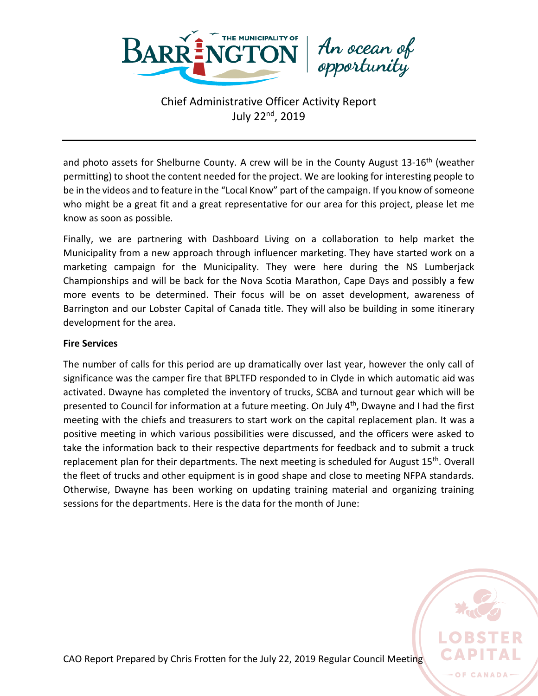

and photo assets for Shelburne County. A crew will be in the County August  $13\n-16$ <sup>th</sup> (weather permitting) to shoot the content needed for the project. We are looking for interesting people to be in the videos and to feature in the "Local Know" part of the campaign. If you know of someone who might be a great fit and a great representative for our area for this project, please let me know as soon as possible.

Finally, we are partnering with Dashboard Living on a collaboration to help market the Municipality from a new approach through influencer marketing. They have started work on a marketing campaign for the Municipality. They were here during the NS Lumberjack Championships and will be back for the Nova Scotia Marathon, Cape Days and possibly a few more events to be determined. Their focus will be on asset development, awareness of Barrington and our Lobster Capital of Canada title. They will also be building in some itinerary development for the area.

#### **Fire Services**

The number of calls for this period are up dramatically over last year, however the only call of significance was the camper fire that BPLTFD responded to in Clyde in which automatic aid was activated. Dwayne has completed the inventory of trucks, SCBA and turnout gear which will be presented to Council for information at a future meeting. On July 4<sup>th</sup>, Dwayne and I had the first meeting with the chiefs and treasurers to start work on the capital replacement plan. It was a positive meeting in which various possibilities were discussed, and the officers were asked to take the information back to their respective departments for feedback and to submit a truck replacement plan for their departments. The next meeting is scheduled for August 15<sup>th</sup>. Overall the fleet of trucks and other equipment is in good shape and close to meeting NFPA standards. Otherwise, Dwayne has been working on updating training material and organizing training sessions for the departments. Here is the data for the month of June: